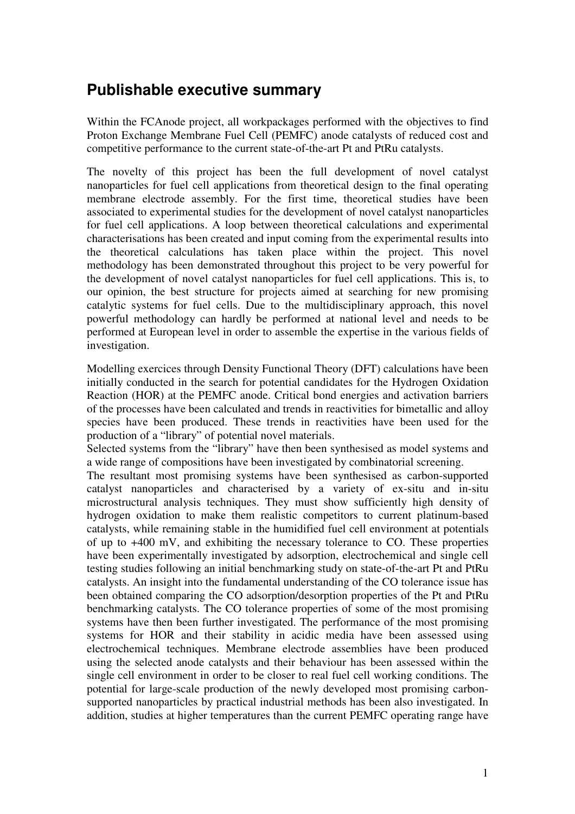## **Publishable executive summary**

Within the FCAnode project, all workpackages performed with the objectives to find Proton Exchange Membrane Fuel Cell (PEMFC) anode catalysts of reduced cost and competitive performance to the current state-of-the-art Pt and PtRu catalysts.

The novelty of this project has been the full development of novel catalyst nanoparticles for fuel cell applications from theoretical design to the final operating membrane electrode assembly. For the first time, theoretical studies have been associated to experimental studies for the development of novel catalyst nanoparticles for fuel cell applications. A loop between theoretical calculations and experimental characterisations has been created and input coming from the experimental results into the theoretical calculations has taken place within the project. This novel methodology has been demonstrated throughout this project to be very powerful for the development of novel catalyst nanoparticles for fuel cell applications. This is, to our opinion, the best structure for projects aimed at searching for new promising catalytic systems for fuel cells. Due to the multidisciplinary approach, this novel powerful methodology can hardly be performed at national level and needs to be performed at European level in order to assemble the expertise in the various fields of investigation.

Modelling exercices through Density Functional Theory (DFT) calculations have been initially conducted in the search for potential candidates for the Hydrogen Oxidation Reaction (HOR) at the PEMFC anode. Critical bond energies and activation barriers of the processes have been calculated and trends in reactivities for bimetallic and alloy species have been produced. These trends in reactivities have been used for the production of a "library" of potential novel materials.

Selected systems from the "library" have then been synthesised as model systems and a wide range of compositions have been investigated by combinatorial screening.

The resultant most promising systems have been synthesised as carbon-supported catalyst nanoparticles and characterised by a variety of ex-situ and in-situ microstructural analysis techniques. They must show sufficiently high density of hydrogen oxidation to make them realistic competitors to current platinum-based catalysts, while remaining stable in the humidified fuel cell environment at potentials of up to +400 mV, and exhibiting the necessary tolerance to CO. These properties have been experimentally investigated by adsorption, electrochemical and single cell testing studies following an initial benchmarking study on state-of-the-art Pt and PtRu catalysts. An insight into the fundamental understanding of the CO tolerance issue has been obtained comparing the CO adsorption/desorption properties of the Pt and PtRu benchmarking catalysts. The CO tolerance properties of some of the most promising systems have then been further investigated. The performance of the most promising systems for HOR and their stability in acidic media have been assessed using electrochemical techniques. Membrane electrode assemblies have been produced using the selected anode catalysts and their behaviour has been assessed within the single cell environment in order to be closer to real fuel cell working conditions. The potential for large-scale production of the newly developed most promising carbonsupported nanoparticles by practical industrial methods has been also investigated. In addition, studies at higher temperatures than the current PEMFC operating range have